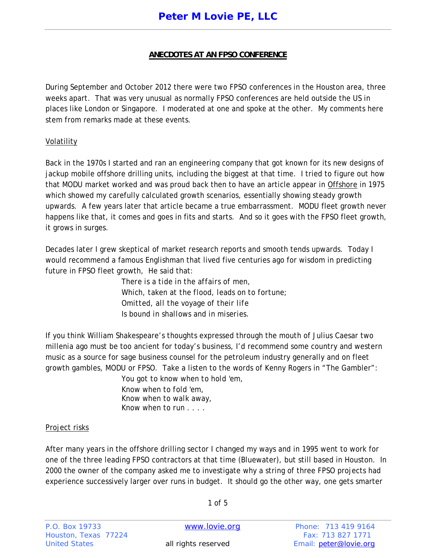## **ANECDOTES AT AN FPSO CONFERENCE**

During September and October 2012 there were two FPSO conferences in the Houston area, three weeks apart. That was very unusual as normally FPSO conferences are held outside the US in places like London or Singapore. I moderated at one and spoke at the other. My comments here stem from remarks made at these events.

### **Volatility**

Back in the 1970s I started and ran an engineering company that got known for its new designs of jackup mobile offshore drilling units, including the biggest at that time. I tried to figure out how that MODU market worked and was proud back then to have an article appear in Offshore in 1975 which showed my carefully calculated growth scenarios, essentially showing steady growth upwards. A few years later that article became a true embarrassment. MODU fleet growth never happens like that, it comes and goes in fits and starts. And so it goes with the FPSO fleet growth, it grows in surges.

Decades later I grew skeptical of market research reports and smooth tends upwards. Today I would recommend a famous Englishman that lived five centuries ago for wisdom in predicting future in FPSO fleet growth, He said that:

> *There is a tide in the affairs of men, Which, taken at the flood, leads on to fortune; Omitted, all the voyage of their life Is bound in shallows and in miseries.*

If you think William Shakespeare's thoughts expressed through the mouth of Julius Caesar two millenia ago must be too ancient for today's business, I'd recommend some country and western music as a source for sage business counsel for the petroleum industry generally and on fleet growth gambles, MODU or FPSO. Take a listen to the words of Kenny Rogers in "The Gambler":

> *You got to know when to hold 'em, Know when to fold 'em, Know when to walk away, Know when to run . . . .*

### Project risks

After many years in the offshore drilling sector I changed my ways and in 1995 went to work for one of the three leading FPSO contractors at that time (Bluewater), but still based in Houston. In 2000 the owner of the company asked me to investigate why a string of three FPSO projects had experience successively larger over runs in budget. It should go the other way, one gets smarter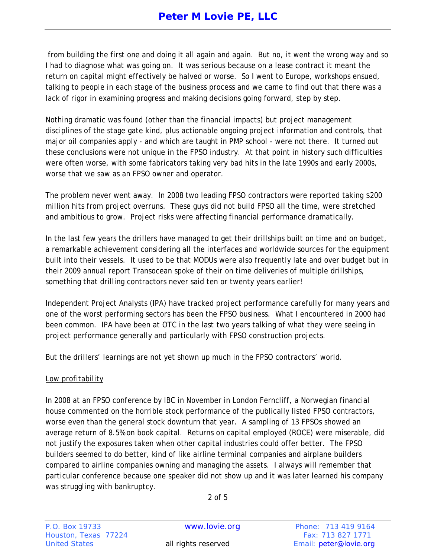## **Peter M Lovie PE, LLC**

 from building the first one and doing it all again and again. But no, it went the wrong way and so I had to diagnose what was going on. It was serious because on a lease contract it meant the return on capital might effectively be halved or worse. So I went to Europe, workshops ensued, talking to people in each stage of the business process and we came to find out that there was a lack of rigor in examining progress and making decisions going forward, step by step.

Nothing dramatic was found (other than the financial impacts) but project management disciplines of the stage gate kind, plus actionable ongoing project information and controls, that major oil companies apply - and which are taught in PMP school - were not there. It turned out these conclusions were not unique in the FPSO industry. At that point in history such difficulties were often worse, with some fabricators taking very bad hits in the late 1990s and early 2000s, worse that we saw as an FPSO owner and operator.

The problem never went away. In 2008 two leading FPSO contractors were reported taking \$200 million hits from project overruns. These guys did not build FPSO all the time, were stretched and ambitious to grow. Project risks were affecting financial performance dramatically.

In the last few years the drillers have managed to get their drillships built on time and on budget, a remarkable achievement considering all the interfaces and worldwide sources for the equipment built into their vessels. It used to be that MODUs were also frequently late and over budget but in their 2009 annual report Transocean spoke of their on time deliveries of multiple drillships, something that drilling contractors never said ten or twenty years earlier!

Independent Project Analysts (IPA) have tracked project performance carefully for many years and one of the worst performing sectors has been the FPSO business. What I encountered in 2000 had been common. IPA have been at OTC in the last two years talking of what they were seeing in project performance generally and particularly with FPSO construction projects.

But the drillers' learnings are not yet shown up much in the FPSO contractors' world.

### Low profitability

In 2008 at an FPSO conference by IBC in November in London Ferncliff, a Norwegian financial house commented on the horrible stock performance of the publically listed FPSO contractors, worse even than the general stock downturn that year. A sampling of 13 FPSOs showed an average return of 8.5% on book capital. Returns on capital employed (ROCE) were miserable, did not justify the exposures taken when other capital industries could offer better. The FPSO builders seemed to do better, kind of like airline terminal companies and airplane builders compared to airline companies owning and managing the assets. I always will remember that particular conference because one speaker did not show up and it was later learned his company was struggling with bankruptcy.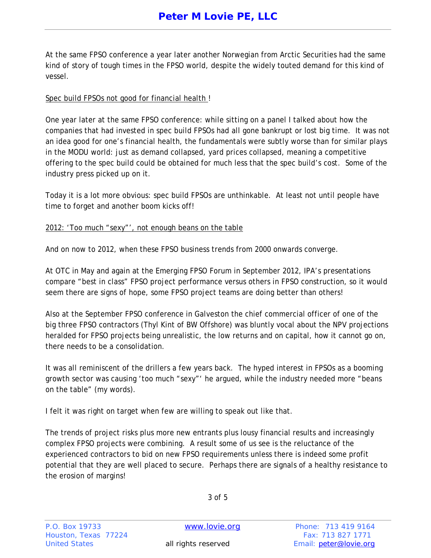# **Peter M Lovie PE, LLC**

At the same FPSO conference a year later another Norwegian from Arctic Securities had the same kind of story of tough times in the FPSO world, despite the widely touted demand for this kind of vessel.

### Spec build FPSOs not good for financial health !

One year later at the same FPSO conference: while sitting on a panel I talked about how the companies that had invested in spec build FPSOs had all gone bankrupt or lost big time. It was not an idea good for one's financial health, the fundamentals were subtly worse than for similar plays in the MODU world: just as demand collapsed, yard prices collapsed, meaning a competitive offering to the spec build could be obtained for much less that the spec build's cost. Some of the industry press picked up on it.

Today it is a lot more obvious: spec build FPSOs are unthinkable. At least not until people have time to forget and another boom kicks off!

### 2012: 'Too much "sexy"', not enough beans on the table

And on now to 2012, when these FPSO business trends from 2000 onwards converge.

At OTC in May and again at the Emerging FPSO Forum in September 2012, IPA's presentations compare "best in class" FPSO project performance versus others in FPSO construction, so it would seem there are signs of hope, some FPSO project teams are doing better than others!

Also at the September FPSO conference in Galveston the chief commercial officer of one of the big three FPSO contractors (Thyl Kint of BW Offshore) was bluntly vocal about the NPV projections heralded for FPSO projects being unrealistic, the low returns and on capital, how it cannot go on, there needs to be a consolidation.

It was all reminiscent of the drillers a few years back. The hyped interest in FPSOs as a booming growth sector was causing 'too much "sexy"' he argued, while the industry needed more "beans on the table" (my words).

I felt it was right on target when few are willing to speak out like that.

The trends of project risks plus more new entrants plus lousy financial results and increasingly complex FPSO projects were combining. A result some of us see is the reluctance of the experienced contractors to bid on new FPSO requirements unless there is indeed some profit potential that they are well placed to secure. Perhaps there are signals of a healthy resistance to the erosion of margins!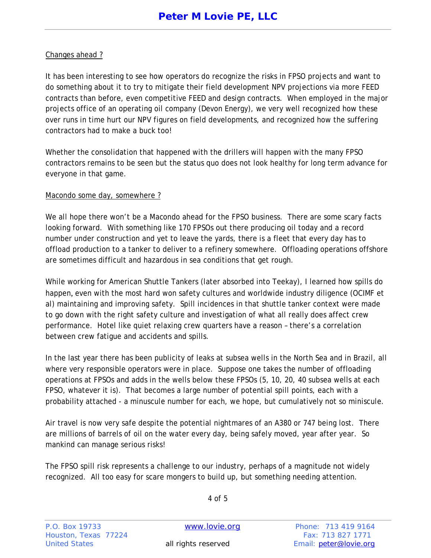## Changes ahead ?

It has been interesting to see how operators do recognize the risks in FPSO projects and want to do something about it to try to mitigate their field development NPV projections via more FEED contracts than before, even competitive FEED and design contracts. When employed in the major projects office of an operating oil company (Devon Energy), we very well recognized how these over runs in time hurt our NPV figures on field developments, and recognized how the suffering contractors had to make a buck too!

Whether the consolidation that happened with the drillers will happen with the many FPSO contractors remains to be seen but the status quo does not look healthy for long term advance for everyone in that game.

### *Macondo* some day, somewhere ?

We all hope there won't be a *Macondo* ahead for the FPSO business. There are some scary facts looking forward. With something like 170 FPSOs out there producing oil today and a record number under construction and yet to leave the yards, there is a fleet that every day has to offload production to a tanker to deliver to a refinery somewhere. Offloading operations offshore are sometimes difficult and hazardous in sea conditions that get rough.

While working for American Shuttle Tankers (later absorbed into Teekay), I learned how spills do happen, even with the most hard won safety cultures and worldwide industry diligence (OCIMF et al) maintaining and improving safety. Spill incidences in that shuttle tanker context were made to go down with the right safety culture and investigation of what all really does affect crew performance. Hotel like quiet relaxing crew quarters have a reason – there's a correlation between crew fatigue and accidents and spills.

In the last year there has been publicity of leaks at subsea wells in the North Sea and in Brazil, all where very responsible operators were in place. Suppose one takes the number of offloading operations at FPSOs and adds in the wells below these FPSOs (5, 10, 20, 40 subsea wells at each FPSO, whatever it is). That becomes a large number of potential spill points, each with a probability attached - a minuscule number for each, we hope, but cumulatively not so miniscule.

Air travel is now very safe despite the potential nightmares of an A380 or 747 being lost. There are millions of barrels of oil on the water every day, being safely moved, year after year. So mankind can manage serious risks!

The FPSO spill risk represents a challenge to our industry, perhaps of a magnitude not widely recognized. All too easy for scare mongers to build up, but something needing attention.